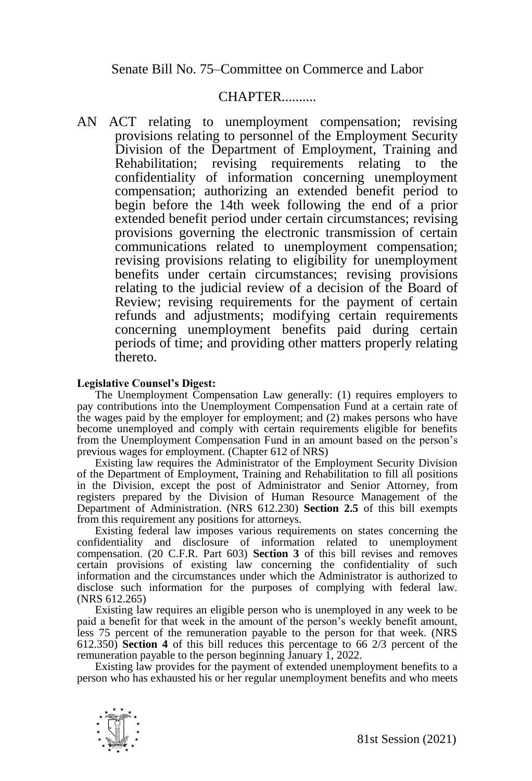Senate Bill No. 75–Committee on Commerce and Labor

## CHAPTER..........

AN ACT relating to unemployment compensation; revising provisions relating to personnel of the Employment Security Division of the Department of Employment, Training and Rehabilitation; revising requirements relating to the confidentiality of information concerning unemployment compensation; authorizing an extended benefit period to begin before the 14th week following the end of a prior extended benefit period under certain circumstances; revising provisions governing the electronic transmission of certain communications related to unemployment compensation; revising provisions relating to eligibility for unemployment benefits under certain circumstances; revising provisions relating to the judicial review of a decision of the Board of Review; revising requirements for the payment of certain refunds and adjustments; modifying certain requirements concerning unemployment benefits paid during certain periods of time; and providing other matters properly relating thereto.

## **Legislative Counsel's Digest:**

The Unemployment Compensation Law generally: (1) requires employers to pay contributions into the Unemployment Compensation Fund at a certain rate of the wages paid by the employer for employment; and (2) makes persons who have become unemployed and comply with certain requirements eligible for benefits from the Unemployment Compensation Fund in an amount based on the person's previous wages for employment. (Chapter 612 of NRS)

Existing law requires the Administrator of the Employment Security Division of the Department of Employment, Training and Rehabilitation to fill all positions in the Division, except the post of Administrator and Senior Attorney, from registers prepared by the Division of Human Resource Management of the Department of Administration. (NRS 612.230) **Section 2.5** of this bill exempts from this requirement any positions for attorneys.

Existing federal law imposes various requirements on states concerning the confidentiality and disclosure of information related to unemployment compensation. (20 C.F.R. Part 603) **Section 3** of this bill revises and removes certain provisions of existing law concerning the confidentiality of such information and the circumstances under which the Administrator is authorized to disclose such information for the purposes of complying with federal law. (NRS 612.265)

Existing law requires an eligible person who is unemployed in any week to be paid a benefit for that week in the amount of the person's weekly benefit amount, less 75 percent of the remuneration payable to the person for that week. (NRS 612.350) **Section 4** of this bill reduces this percentage to 66 2/3 percent of the remuneration payable to the person beginning January 1, 2022.

Existing law provides for the payment of extended unemployment benefits to a person who has exhausted his or her regular unemployment benefits and who meets

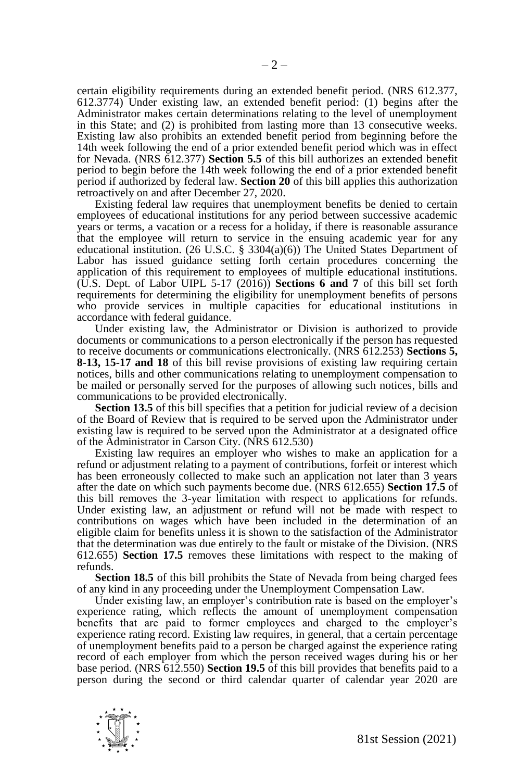certain eligibility requirements during an extended benefit period. (NRS 612.377, 612.3774) Under existing law, an extended benefit period: (1) begins after the Administrator makes certain determinations relating to the level of unemployment in this State; and (2) is prohibited from lasting more than 13 consecutive weeks. Existing law also prohibits an extended benefit period from beginning before the 14th week following the end of a prior extended benefit period which was in effect for Nevada. (NRS 612.377) **Section 5.5** of this bill authorizes an extended benefit period to begin before the 14th week following the end of a prior extended benefit period if authorized by federal law. **Section 20** of this bill applies this authorization retroactively on and after December 27, 2020.

Existing federal law requires that unemployment benefits be denied to certain employees of educational institutions for any period between successive academic years or terms, a vacation or a recess for a holiday, if there is reasonable assurance that the employee will return to service in the ensuing academic year for any educational institution. (26 U.S.C. § 3304(a)(6)) The United States Department of Labor has issued guidance setting forth certain procedures concerning the application of this requirement to employees of multiple educational institutions.  $(1)$ ,  $\overline{S}$ , Dept. of Labor UIPL 5-17 (2016)) **Sections 6** and 7 of this bill set forth requirements for determining the eligibility for unemployment benefits of persons who provide services in multiple capacities for educational institutions in accordance with federal guidance.

Under existing law, the Administrator or Division is authorized to provide documents or communications to a person electronically if the person has requested to receive documents or communications electronically. (NRS 612.253) **Sections 5, 8-13, 15-17 and 18** of this bill revise provisions of existing law requiring certain notices, bills and other communications relating to unemployment compensation to be mailed or personally served for the purposes of allowing such notices, bills and communications to be provided electronically.

**Section 13.5** of this bill specifies that a petition for judicial review of a decision of the Board of Review that is required to be served upon the Administrator under existing law is required to be served upon the Administrator at a designated office of the Administrator in Carson City. (NRS 612.530)

Existing law requires an employer who wishes to make an application for a refund or adjustment relating to a payment of contributions, forfeit or interest which has been erroneously collected to make such an application not later than 3 years after the date on which such payments become due. (NRS 612.655) **Section 17.5** of this bill removes the 3-year limitation with respect to applications for refunds. Under existing law, an adjustment or refund will not be made with respect to contributions on wages which have been included in the determination of an eligible claim for benefits unless it is shown to the satisfaction of the Administrator that the determination was due entirely to the fault or mistake of the Division. (NRS 612.655) **Section 17.5** removes these limitations with respect to the making of refunds.

**Section 18.5** of this bill prohibits the State of Nevada from being charged fees of any kind in any proceeding under the Unemployment Compensation Law.

Under existing law, an employer's contribution rate is based on the employer's experience rating, which reflects the amount of unemployment compensation benefits that are paid to former employees and charged to the employer's experience rating record. Existing law requires, in general, that a certain percentage of unemployment benefits paid to a person be charged against the experience rating record of each employer from which the person received wages during his or her base period. (NRS 612.550) **Section 19.5** of this bill provides that benefits paid to a person during the second or third calendar quarter of calendar year 2020 are

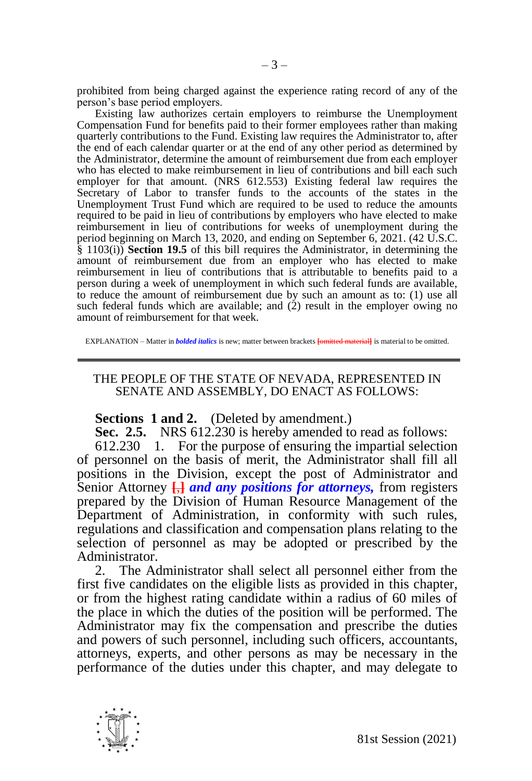prohibited from being charged against the experience rating record of any of the person's base period employers.

Existing law authorizes certain employers to reimburse the Unemployment Compensation Fund for benefits paid to their former employees rather than making quarterly contributions to the Fund. Existing law requires the Administrator to, after the end of each calendar quarter or at the end of any other period as determined by the Administrator, determine the amount of reimbursement due from each employer who has elected to make reimbursement in lieu of contributions and bill each such employer for that amount. (NRS 612.553) Existing federal law requires the Secretary of Labor to transfer funds to the accounts of the states in the Unemployment Trust Fund which are required to be used to reduce the amounts required to be paid in lieu of contributions by employers who have elected to make reimbursement in lieu of contributions for weeks of unemployment during the period beginning on March 13, 2020, and ending on September 6, 2021. (42 U.S.C. § 1103(i)) **Section 19.5** of this bill requires the Administrator, in determining the amount of reimbursement due from an employer who has elected to make reimbursement in lieu of contributions that is attributable to benefits paid to a person during a week of unemployment in which such federal funds are available, to reduce the amount of reimbursement due by such an amount as to: (1) use all such federal funds which are available; and  $(2)$  result in the employer owing no amount of reimbursement for that week.

EXPLANATION – Matter in *bolded italics* is new; matter between brackets **[**omitted material**]** is material to be omitted.

## THE PEOPLE OF THE STATE OF NEVADA, REPRESENTED IN SENATE AND ASSEMBLY, DO ENACT AS FOLLOWS:

## **Sections 1 and 2.** (Deleted by amendment.)

**Sec. 2.5.** NRS 612.230 is hereby amended to read as follows:

612.230 1. For the purpose of ensuring the impartial selection of personnel on the basis of merit, the Administrator shall fill all positions in the Division, except the post of Administrator and Senior Attorney **[**,**]** *and any positions for attorneys,* from registers prepared by the Division of Human Resource Management of the Department of Administration, in conformity with such rules, regulations and classification and compensation plans relating to the selection of personnel as may be adopted or prescribed by the Administrator.

2. The Administrator shall select all personnel either from the first five candidates on the eligible lists as provided in this chapter, or from the highest rating candidate within a radius of 60 miles of the place in which the duties of the position will be performed. The Administrator may fix the compensation and prescribe the duties and powers of such personnel, including such officers, accountants, attorneys, experts, and other persons as may be necessary in the performance of the duties under this chapter, and may delegate to

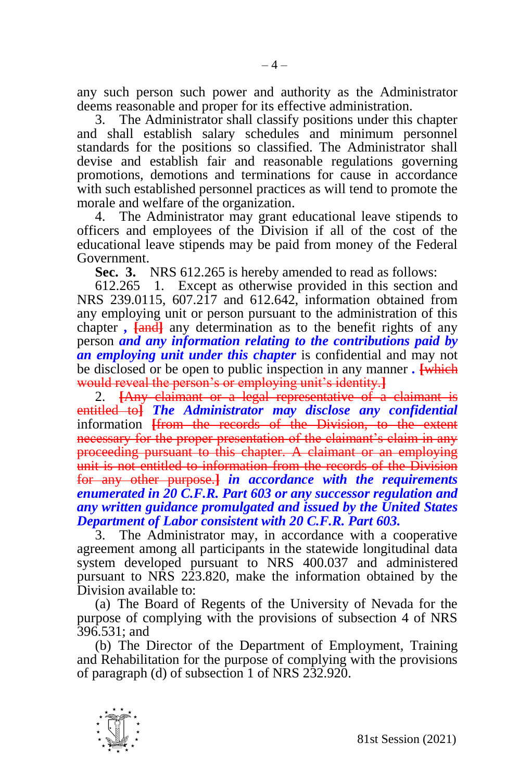any such person such power and authority as the Administrator deems reasonable and proper for its effective administration.

3. The Administrator shall classify positions under this chapter and shall establish salary schedules and minimum personnel standards for the positions so classified. The Administrator shall devise and establish fair and reasonable regulations governing promotions, demotions and terminations for cause in accordance with such established personnel practices as will tend to promote the morale and welfare of the organization.

4. The Administrator may grant educational leave stipends to officers and employees of the Division if all of the cost of the educational leave stipends may be paid from money of the Federal Government.

**Sec. 3.** NRS 612.265 is hereby amended to read as follows:

612.265 1. Except as otherwise provided in this section and NRS  $239.0115$ ,  $607.2\overline{17}$  and  $612.642$ , information obtained from any employing unit or person pursuant to the administration of this chapter *,* **[and]** any determination as to the benefit rights of any person *and any information relating to the contributions paid by an employing unit under this chapter* is confidential and may not be disclosed or be open to public inspection in any manner *.* **[**which would reveal the person's or employing unit's identity.**]**

2. **[**Any claimant or a legal representative of a claimant is entitled to**]** *The Administrator may disclose any confidential*  information **[**from the records of the Division, to the extent necessary for the proper presentation of the claimant's claim in any proceeding pursuant to this chapter. A claimant or an employing unit is not entitled to information from the records of the Division for any other purpose.**]** *in accordance with the requirements enumerated in 20 C.F.R. Part 603 or any successor regulation and any written guidance promulgated and issued by the United States Department of Labor consistent with 20 C.F.R. Part 603.*

3. The Administrator may, in accordance with a cooperative agreement among all participants in the statewide longitudinal data system developed pursuant to NRS 400.037 and administered pursuant to NRS 223.820, make the information obtained by the Division available to:

(a) The Board of Regents of the University of Nevada for the purpose of complying with the provisions of subsection 4 of NRS 396.531; and

(b) The Director of the Department of Employment, Training and Rehabilitation for the purpose of complying with the provisions of paragraph (d) of subsection 1 of NRS 232.920.

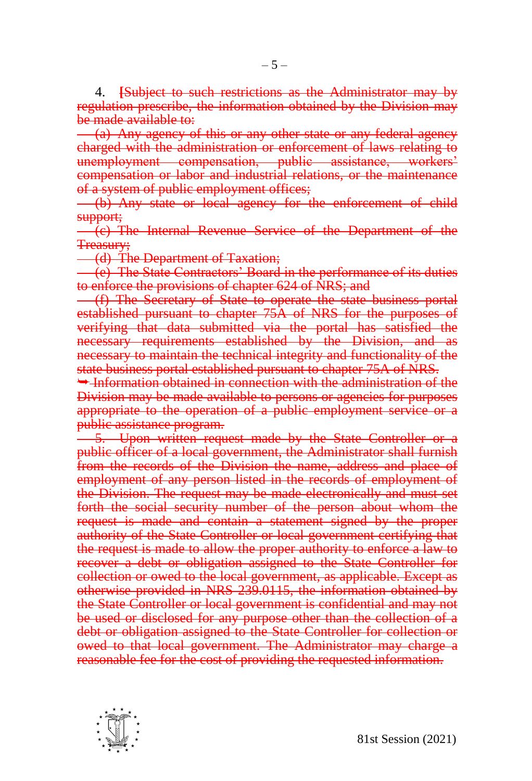4. **[**Subject to such restrictions as the Administrator may by regulation prescribe, the information obtained by the Division may be made available to:

(a) Any agency of this or any other state or any federal agency charged with the administration or enforcement of laws relating to unemployment compensation, public assistance, workers' compensation or labor and industrial relations, or the maintenance of a system of public employment offices;

(b) Any state or local agency for the enforcement of child support;

(c) The Internal Revenue Service of the Department of the Treasury;

(d) The Department of Taxation;

(e) The State Contractors' Board in the performance of its duties to enforce the provisions of chapter 624 of NRS; and

(f) The Secretary of State to operate the state business portal established pursuant to chapter 75A of NRS for the purposes of verifying that data submitted via the portal has satisfied the necessary requirements established by the Division, and as necessary to maintain the technical integrity and functionality of the state business portal established pursuant to chapter 75A of NRS.

 $\rightarrow$  Information obtained in connection with the administration of the Division may be made available to persons or agencies for purposes appropriate to the operation of a public employment service or a public assistance program.

5. Upon written request made by the State Controller or a public officer of a local government, the Administrator shall furnish from the records of the Division the name, address and place of employment of any person listed in the records of employment of the Division. The request may be made electronically and must set forth the social security number of the person about whom the request is made and contain a statement signed by the proper authority of the State Controller or local government certifying that the request is made to allow the proper authority to enforce a law to recover a debt or obligation assigned to the State Controller for collection or owed to the local government, as applicable. Except as otherwise provided in NRS 239.0115, the information obtained by the State Controller or local government is confidential and may not be used or disclosed for any purpose other than the collection of a debt or obligation assigned to the State Controller for collection or owed to that local government. The Administrator may charge a reasonable fee for the cost of providing the requested information.

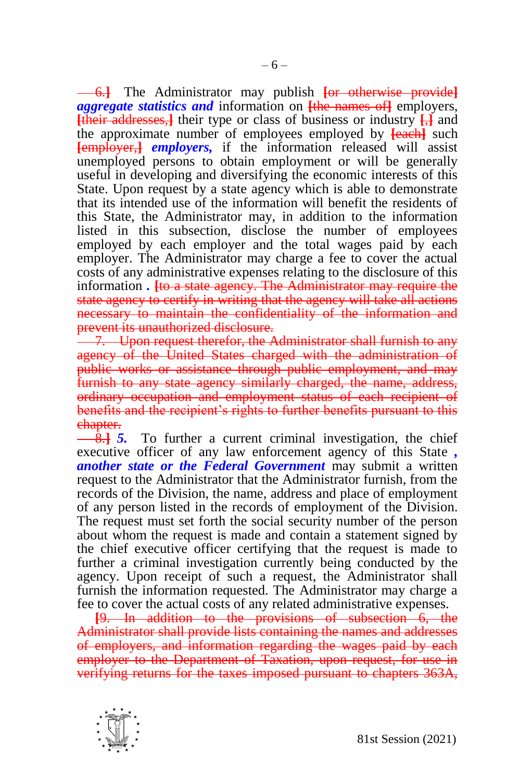6.**]** The Administrator may publish **[**or otherwise provide**]** *aggregate statistics and* information on **[**the names of**]** employers, **[**their addresses,**]** their type or class of business or industry **[**,**]** and the approximate number of employees employed by **[**each**]** such **[**employer,**]** *employers,* if the information released will assist unemployed persons to obtain employment or will be generally useful in developing and diversifying the economic interests of this State. Upon request by a state agency which is able to demonstrate that its intended use of the information will benefit the residents of this State, the Administrator may, in addition to the information listed in this subsection, disclose the number of employees employed by each employer and the total wages paid by each employer. The Administrator may charge a fee to cover the actual costs of any administrative expenses relating to the disclosure of this information *.* **[**to a state agency. The Administrator may require the state agency to certify in writing that the agency will take all actions necessary to maintain the confidentiality of the information and prevent its unauthorized disclosure.

7. Upon request therefor, the Administrator shall furnish to any agency of the United States charged with the administration of public works or assistance through public employment, and may furnish to any state agency similarly charged, the name, address, ordinary occupation and employment status of each recipient of benefits and the recipient's rights to further benefits pursuant to this chapter.

8.**]** *5.* To further a current criminal investigation, the chief executive officer of any law enforcement agency of this State *, another state or the Federal Government* may submit a written request to the Administrator that the Administrator furnish, from the records of the Division, the name, address and place of employment of any person listed in the records of employment of the Division. The request must set forth the social security number of the person about whom the request is made and contain a statement signed by the chief executive officer certifying that the request is made to further a criminal investigation currently being conducted by the agency. Upon receipt of such a request, the Administrator shall furnish the information requested. The Administrator may charge a fee to cover the actual costs of any related administrative expenses.

**[**9. In addition to the provisions of subsection 6, the Administrator shall provide lists containing the names and addresses of employers, and information regarding the wages paid by each employer to the Department of Taxation, upon request, for use in verifying returns for the taxes imposed pursuant to chapters 363A,

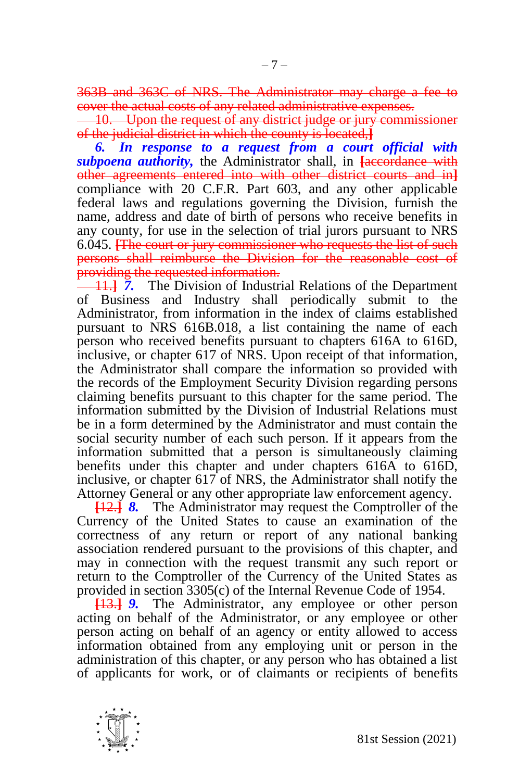363B and 363C of NRS. The Administrator may charge a fee to cover the actual costs of any related administrative expenses.

**10.** Upon the request of any district judge or jury commissioner of the judicial district in which the county is located,**]**

*6. In response to a request from a court official with*  **subpoena authority**, the Administrator shall, in **Faccordance** with other agreements entered into with other district courts and in**]** compliance with 20 C.F.R. Part 603, and any other applicable federal laws and regulations governing the Division, furnish the name, address and date of birth of persons who receive benefits in any county, for use in the selection of trial jurors pursuant to NRS 6.045. **[**The court or jury commissioner who requests the list of such persons shall reimburse the Division for the reasonable cost of providing the requested information.

11.**]** *7.* The Division of Industrial Relations of the Department of Business and Industry shall periodically submit to the Administrator, from information in the index of claims established pursuant to NRS 616B.018, a list containing the name of each person who received benefits pursuant to chapters 616A to 616D, inclusive, or chapter 617 of NRS. Upon receipt of that information, the Administrator shall compare the information so provided with the records of the Employment Security Division regarding persons claiming benefits pursuant to this chapter for the same period. The information submitted by the Division of Industrial Relations must be in a form determined by the Administrator and must contain the social security number of each such person. If it appears from the information submitted that a person is simultaneously claiming benefits under this chapter and under chapters 616A to 616D, inclusive, or chapter  $617$  of NRS, the Administrator shall notify the Attorney General or any other appropriate law enforcement agency.

**[**12.**]** *8.* The Administrator may request the Comptroller of the Currency of the United States to cause an examination of the correctness of any return or report of any national banking association rendered pursuant to the provisions of this chapter, and may in connection with the request transmit any such report or return to the Comptroller of the Currency of the United States as provided in section 3305(c) of the Internal Revenue Code of 1954.

**[**13.**]** *9.* The Administrator, any employee or other person acting on behalf of the Administrator, or any employee or other person acting on behalf of an agency or entity allowed to access information obtained from any employing unit or person in the administration of this chapter, or any person who has obtained a list of applicants for work, or of claimants or recipients of benefits

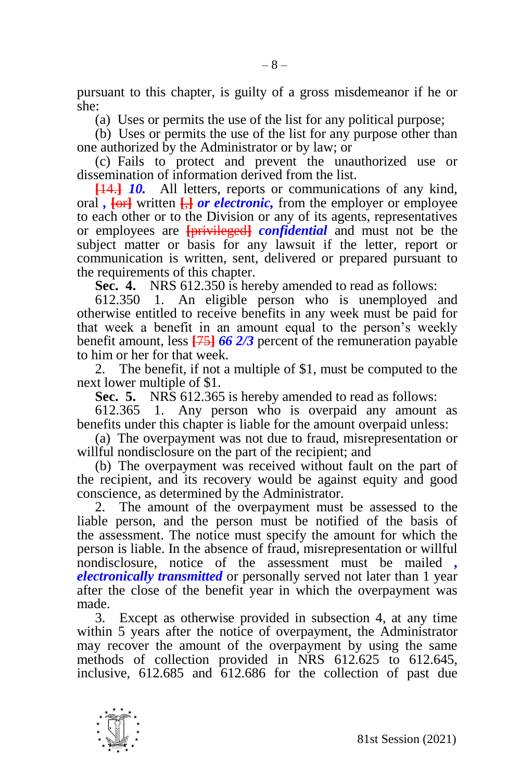pursuant to this chapter, is guilty of a gross misdemeanor if he or she:

(a) Uses or permits the use of the list for any political purpose;

(b) Uses or permits the use of the list for any purpose other than one authorized by the Administrator or by law; or

(c) Fails to protect and prevent the unauthorized use or dissemination of information derived from the list.

**[**14.**]** *10.* All letters, reports or communications of any kind, oral *,* **[**or**]** written **[**,**]** *or electronic,* from the employer or employee to each other or to the Division or any of its agents, representatives or employees are **[**privileged**]** *confidential* and must not be the subject matter or basis for any lawsuit if the letter, report or communication is written, sent, delivered or prepared pursuant to the requirements of this chapter.

**Sec. 4.** NRS 612.350 is hereby amended to read as follows:

612.350 1. An eligible person who is unemployed and otherwise entitled to receive benefits in any week must be paid for that week a benefit in an amount equal to the person's weekly benefit amount, less **[**75**]** *66 2/3* percent of the remuneration payable to him or her for that week.

2. The benefit, if not a multiple of \$1, must be computed to the next lower multiple of \$1.

**Sec. 5.** NRS 612.365 is hereby amended to read as follows:

612.365 1. Any person who is overpaid any amount as benefits under this chapter is liable for the amount overpaid unless:

(a) The overpayment was not due to fraud, misrepresentation or willful nondisclosure on the part of the recipient; and

(b) The overpayment was received without fault on the part of the recipient, and its recovery would be against equity and good conscience, as determined by the Administrator.

2. The amount of the overpayment must be assessed to the liable person, and the person must be notified of the basis of the assessment. The notice must specify the amount for which the person is liable. In the absence of fraud, misrepresentation or willful nondisclosure, notice of the assessment must be mailed *, electronically transmitted* or personally served not later than 1 year after the close of the benefit year in which the overpayment was made.

3. Except as otherwise provided in subsection 4, at any time within 5 years after the notice of overpayment, the Administrator may recover the amount of the overpayment by using the same methods of collection provided in NRS 612.625 to 612.645, inclusive, 612.685 and 612.686 for the collection of past due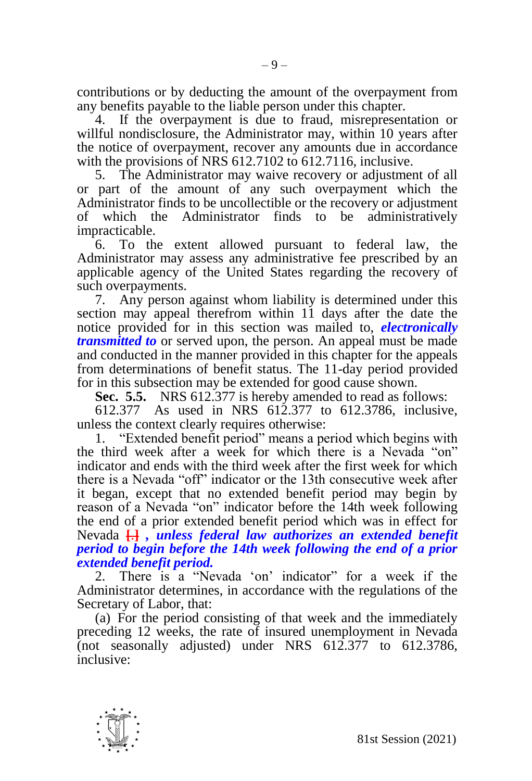contributions or by deducting the amount of the overpayment from any benefits payable to the liable person under this chapter.

4. If the overpayment is due to fraud, misrepresentation or willful nondisclosure, the Administrator may, within 10 years after the notice of overpayment, recover any amounts due in accordance with the provisions of NRS 612.7102 to 612.7116, inclusive.

5. The Administrator may waive recovery or adjustment of all or part of the amount of any such overpayment which the Administrator finds to be uncollectible or the recovery or adjustment of which the Administrator finds to be administratively impracticable.

6. To the extent allowed pursuant to federal law, the Administrator may assess any administrative fee prescribed by an applicable agency of the United States regarding the recovery of such overpayments.

7. Any person against whom liability is determined under this section may appeal therefrom within 11 days after the date the notice provided for in this section was mailed to, *electronically transmitted to* or served upon, the person. An appeal must be made and conducted in the manner provided in this chapter for the appeals from determinations of benefit status. The 11-day period provided for in this subsection may be extended for good cause shown.

**Sec. 5.5.** NRS 612.377 is hereby amended to read as follows:

612.377 As used in NRS 612.377 to 612.3786, inclusive, unless the context clearly requires otherwise:

1. "Extended benefit period" means a period which begins with the third week after a week for which there is a Nevada "on" indicator and ends with the third week after the first week for which there is a Nevada "off" indicator or the 13th consecutive week after it began, except that no extended benefit period may begin by reason of a Nevada "on" indicator before the 14th week following the end of a prior extended benefit period which was in effect for Nevada **[**.**]** *, unless federal law authorizes an extended benefit period to begin before the 14th week following the end of a prior extended benefit period.* 

2. There is a "Nevada 'on' indicator" for a week if the Administrator determines, in accordance with the regulations of the Secretary of Labor, that:

(a) For the period consisting of that week and the immediately preceding 12 weeks, the rate of insured unemployment in Nevada (not seasonally adjusted) under NRS  $612.377$  to  $612.3786$ , inclusive:

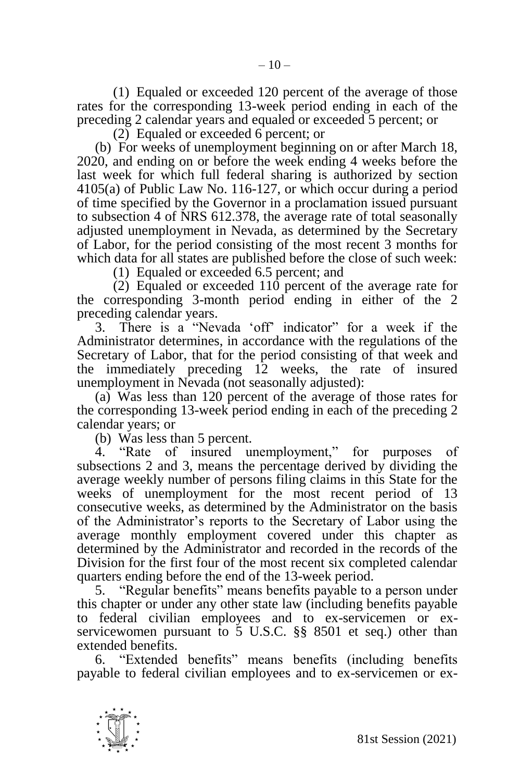(1) Equaled or exceeded 120 percent of the average of those rates for the corresponding 13-week period ending in each of the preceding 2 calendar years and equaled or exceeded 5 percent; or

(2) Equaled or exceeded 6 percent; or

(b) For weeks of unemployment beginning on or after March 18, 2020, and ending on or before the week ending 4 weeks before the last week for which full federal sharing is authorized by section 4105(a) of Public Law No. 116-127, or which occur during a period of time specified by the Governor in a proclamation issued pursuant to subsection 4 of NRS 612.378, the average rate of total seasonally adjusted unemployment in Nevada, as determined by the Secretary of Labor, for the period consisting of the most recent 3 months for which data for all states are published before the close of such week:

(1) Equaled or exceeded 6.5 percent; and

(2) Equaled or exceeded 110 percent of the average rate for the corresponding 3-month period ending in either of the 2 preceding calendar years.

3. There is a "Nevada 'off' indicator" for a week if the Administrator determines, in accordance with the regulations of the Secretary of Labor, that for the period consisting of that week and the immediately preceding 12 weeks, the rate of insured unemployment in Nevada (not seasonally adjusted):

(a) Was less than 120 percent of the average of those rates for the corresponding 13-week period ending in each of the preceding 2 calendar years; or

(b) Was less than 5 percent.

4. "Rate of insured unemployment," for purposes of subsections 2 and 3, means the percentage derived by dividing the average weekly number of persons filing claims in this State for the weeks of unemployment for the most recent period of 13 consecutive weeks, as determined by the Administrator on the basis of the Administrator's reports to the Secretary of Labor using the average monthly employment covered under this chapter as determined by the Administrator and recorded in the records of the Division for the first four of the most recent six completed calendar quarters ending before the end of the 13-week period.

5. "Regular benefits" means benefits payable to a person under this chapter or under any other state law (including benefits payable to federal civilian employees and to ex-servicemen or exservicewomen pursuant to 5 U.S.C. §§ 8501 et seq.) other than extended benefits.

6. "Extended benefits" means benefits (including benefits payable to federal civilian employees and to ex-servicemen or ex-

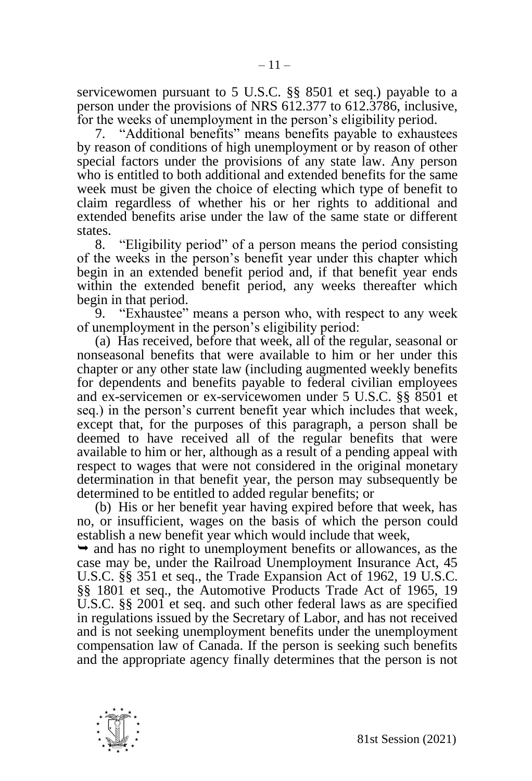servicewomen pursuant to 5 U.S.C. §§ 8501 et seq.) payable to a person under the provisions of NRS 612.377 to 612.3786, inclusive, for the weeks of unemployment in the person's eligibility period.

7. "Additional benefits" means benefits payable to exhaustees by reason of conditions of high unemployment or by reason of other special factors under the provisions of any state law. Any person who is entitled to both additional and extended benefits for the same week must be given the choice of electing which type of benefit to claim regardless of whether his or her rights to additional and extended benefits arise under the law of the same state or different states.

8. "Eligibility period" of a person means the period consisting of the weeks in the person's benefit year under this chapter which begin in an extended benefit period and, if that benefit year ends within the extended benefit period, any weeks thereafter which begin in that period.

9. "Exhaustee" means a person who, with respect to any week of unemployment in the person's eligibility period:

(a) Has received, before that week, all of the regular, seasonal or nonseasonal benefits that were available to him or her under this chapter or any other state law (including augmented weekly benefits for dependents and benefits payable to federal civilian employees and ex-servicemen or ex-servicewomen under 5 U.S.C. §§ 8501 et seq.) in the person's current benefit year which includes that week, except that, for the purposes of this paragraph, a person shall be deemed to have received all of the regular benefits that were available to him or her, although as a result of a pending appeal with respect to wages that were not considered in the original monetary determination in that benefit year, the person may subsequently be determined to be entitled to added regular benefits; or

(b) His or her benefit year having expired before that week, has no, or insufficient, wages on the basis of which the person could establish a new benefit year which would include that week,

 $\rightarrow$  and has no right to unemployment benefits or allowances, as the case may be, under the Railroad Unemployment Insurance Act, 45 U.S.C. §§ 351 et seq., the Trade Expansion Act of 1962, 19 U.S.C. §§ 1801 et seq., the Automotive Products Trade Act of 1965, 19 U.S.C. §§ 2001 et seq. and such other federal laws as are specified in regulations issued by the Secretary of Labor, and has not received and is not seeking unemployment benefits under the unemployment compensation law of Canada. If the person is seeking such benefits and the appropriate agency finally determines that the person is not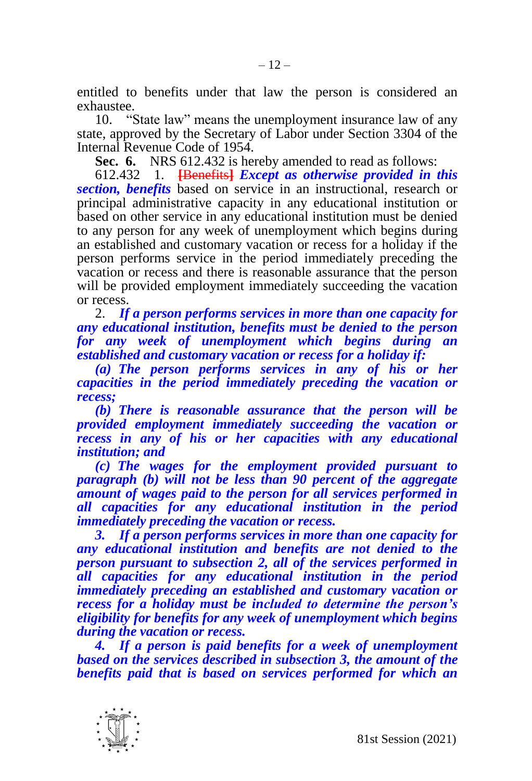entitled to benefits under that law the person is considered an exhaustee.

10. "State law" means the unemployment insurance law of any state, approved by the Secretary of Labor under Section 3304 of the Internal Revenue Code of 1954.

**Sec. 6.** NRS 612.432 is hereby amended to read as follows:

612.432 1. **[**Benefits**]** *Except as otherwise provided in this section, benefits* based on service in an instructional, research or principal administrative capacity in any educational institution or based on other service in any educational institution must be denied to any person for any week of unemployment which begins during an established and customary vacation or recess for a holiday if the person performs service in the period immediately preceding the vacation or recess and there is reasonable assurance that the person will be provided employment immediately succeeding the vacation or recess.

2. *If a person performs services in more than one capacity for any educational institution, benefits must be denied to the person for any week of unemployment which begins during an established and customary vacation or recess for a holiday if:*

*(a) The person performs services in any of his or her capacities in the period immediately preceding the vacation or recess;* 

*(b) There is reasonable assurance that the person will be provided employment immediately succeeding the vacation or recess in any of his or her capacities with any educational institution; and*

*(c) The wages for the employment provided pursuant to paragraph (b) will not be less than 90 percent of the aggregate amount of wages paid to the person for all services performed in all capacities for any educational institution in the period immediately preceding the vacation or recess.* 

*3. If a person performs services in more than one capacity for any educational institution and benefits are not denied to the person pursuant to subsection 2, all of the services performed in all capacities for any educational institution in the period immediately preceding an established and customary vacation or recess for a holiday must be included to determine the person's eligibility for benefits for any week of unemployment which begins during the vacation or recess.*

*4. If a person is paid benefits for a week of unemployment based on the services described in subsection 3, the amount of the benefits paid that is based on services performed for which an* 

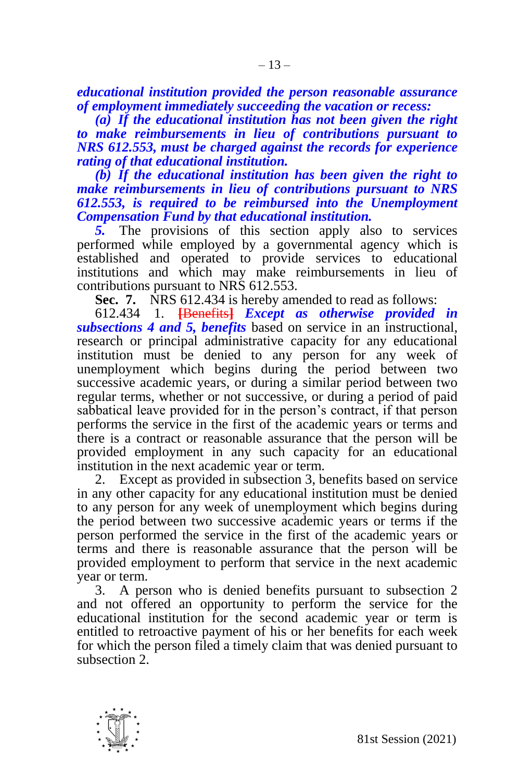*educational institution provided the person reasonable assurance of employment immediately succeeding the vacation or recess:*

*(a) If the educational institution has not been given the right to make reimbursements in lieu of contributions pursuant to NRS 612.553, must be charged against the records for experience rating of that educational institution.*

*(b) If the educational institution has been given the right to make reimbursements in lieu of contributions pursuant to NRS 612.553, is required to be reimbursed into the Unemployment Compensation Fund by that educational institution.* 

*5.* The provisions of this section apply also to services performed while employed by a governmental agency which is established and operated to provide services to educational institutions and which may make reimbursements in lieu of contributions pursuant to NRS 612.553.

**Sec. 7.** NRS 612.434 is hereby amended to read as follows:

612.434 1. **[**Benefits**]** *Except as otherwise provided in subsections 4 and 5, benefits* based on service in an instructional, research or principal administrative capacity for any educational institution must be denied to any person for any week of unemployment which begins during the period between two successive academic years, or during a similar period between two regular terms, whether or not successive, or during a period of paid sabbatical leave provided for in the person's contract, if that person performs the service in the first of the academic years or terms and there is a contract or reasonable assurance that the person will be provided employment in any such capacity for an educational institution in the next academic year or term.

2. Except as provided in subsection 3, benefits based on service in any other capacity for any educational institution must be denied to any person for any week of unemployment which begins during the period between two successive academic years or terms if the person performed the service in the first of the academic years or terms and there is reasonable assurance that the person will be provided employment to perform that service in the next academic year or term.

3. A person who is denied benefits pursuant to subsection 2 and not offered an opportunity to perform the service for the educational institution for the second academic year or term is entitled to retroactive payment of his or her benefits for each week for which the person filed a timely claim that was denied pursuant to subsection 2.

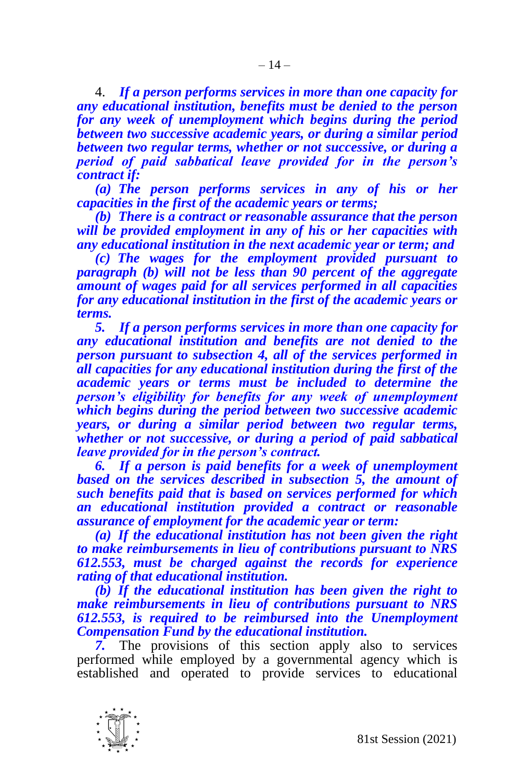4. *If a person performs services in more than one capacity for any educational institution, benefits must be denied to the person for any week of unemployment which begins during the period between two successive academic years, or during a similar period between two regular terms, whether or not successive, or during a period of paid sabbatical leave provided for in the person's contract if:*

*(a) The person performs services in any of his or her capacities in the first of the academic years or terms;* 

*(b) There is a contract or reasonable assurance that the person will be provided employment in any of his or her capacities with any educational institution in the next academic year or term; and*

*(c) The wages for the employment provided pursuant to paragraph (b) will not be less than 90 percent of the aggregate amount of wages paid for all services performed in all capacities for any educational institution in the first of the academic years or terms.* 

*5. If a person performs services in more than one capacity for any educational institution and benefits are not denied to the person pursuant to subsection 4, all of the services performed in all capacities for any educational institution during the first of the academic years or terms must be included to determine the person's eligibility for benefits for any week of unemployment which begins during the period between two successive academic years, or during a similar period between two regular terms, whether or not successive, or during a period of paid sabbatical leave provided for in the person's contract.*

*6. If a person is paid benefits for a week of unemployment based on the services described in subsection 5, the amount of such benefits paid that is based on services performed for which an educational institution provided a contract or reasonable assurance of employment for the academic year or term:*

*(a) If the educational institution has not been given the right to make reimbursements in lieu of contributions pursuant to NRS 612.553, must be charged against the records for experience rating of that educational institution.*

*(b) If the educational institution has been given the right to make reimbursements in lieu of contributions pursuant to NRS 612.553, is required to be reimbursed into the Unemployment Compensation Fund by the educational institution.*

*7.* The provisions of this section apply also to services performed while employed by a governmental agency which is established and operated to provide services to educational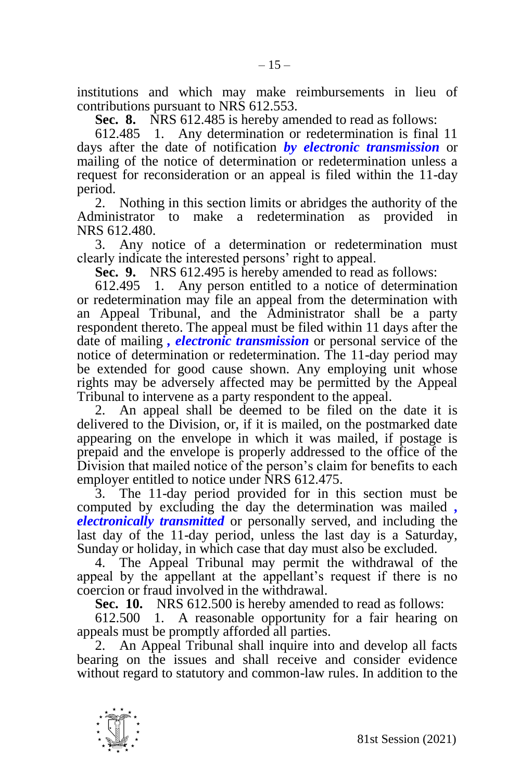institutions and which may make reimbursements in lieu of contributions pursuant to NRS 612.553.

**Sec. 8.** NRS 612.485 is hereby amended to read as follows:

612.485 1. Any determination or redetermination is final 11 days after the date of notification *by electronic transmission* or mailing of the notice of determination or redetermination unless a request for reconsideration or an appeal is filed within the 11-day period.

2. Nothing in this section limits or abridges the authority of the Administrator to make a redetermination as provided in NRS 612.480.

3. Any notice of a determination or redetermination must clearly indicate the interested persons' right to appeal.

**Sec. 9.** NRS 612.495 is hereby amended to read as follows:

612.495 1. Any person entitled to a notice of determination or redetermination may file an appeal from the determination with an Appeal Tribunal, and the Administrator shall be a party respondent thereto. The appeal must be filed within 11 days after the date of mailing *, electronic transmission* or personal service of the notice of determination or redetermination. The 11-day period may be extended for good cause shown. Any employing unit whose rights may be adversely affected may be permitted by the Appeal Tribunal to intervene as a party respondent to the appeal.

2. An appeal shall be deemed to be filed on the date it is delivered to the Division, or, if it is mailed, on the postmarked date appearing on the envelope in which it was mailed, if postage is prepaid and the envelope is properly addressed to the office of the Division that mailed notice of the person's claim for benefits to each employer entitled to notice under NRS 612.475.

3. The 11-day period provided for in this section must be computed by excluding the day the determination was mailed *, electronically transmitted* or personally served, and including the last day of the 11-day period, unless the last day is a Saturday, Sunday or holiday, in which case that day must also be excluded.

4. The Appeal Tribunal may permit the withdrawal of the appeal by the appellant at the appellant's request if there is no coercion or fraud involved in the withdrawal.

**Sec. 10.** NRS 612.500 is hereby amended to read as follows:

612.500 1. A reasonable opportunity for a fair hearing on appeals must be promptly afforded all parties.

2. An Appeal Tribunal shall inquire into and develop all facts bearing on the issues and shall receive and consider evidence without regard to statutory and common-law rules. In addition to the

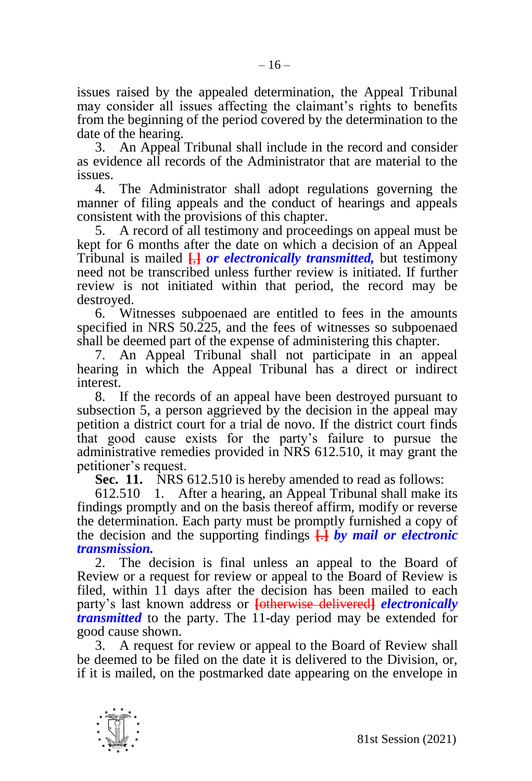issues raised by the appealed determination, the Appeal Tribunal may consider all issues affecting the claimant's rights to benefits from the beginning of the period covered by the determination to the date of the hearing.

3. An Appeal Tribunal shall include in the record and consider as evidence all records of the Administrator that are material to the issues.

4. The Administrator shall adopt regulations governing the manner of filing appeals and the conduct of hearings and appeals consistent with the provisions of this chapter.

5. A record of all testimony and proceedings on appeal must be kept for 6 months after the date on which a decision of an Appeal Tribunal is mailed **[**,**]** *or electronically transmitted,* but testimony need not be transcribed unless further review is initiated. If further review is not initiated within that period, the record may be destroyed.

6. Witnesses subpoenaed are entitled to fees in the amounts specified in NRS 50.225, and the fees of witnesses so subpoenaed shall be deemed part of the expense of administering this chapter.

7. An Appeal Tribunal shall not participate in an appeal hearing in which the Appeal Tribunal has a direct or indirect interest.

8. If the records of an appeal have been destroyed pursuant to subsection 5, a person aggrieved by the decision in the appeal may petition a district court for a trial de novo. If the district court finds that good cause exists for the party's failure to pursue the administrative remedies provided in NRS 612.510, it may grant the petitioner's request.

**Sec. 11.** NRS 612.510 is hereby amended to read as follows:

612.510 1. After a hearing, an Appeal Tribunal shall make its findings promptly and on the basis thereof affirm, modify or reverse the determination. Each party must be promptly furnished a copy of the decision and the supporting findings **[**.**]** *by mail or electronic transmission.*

2. The decision is final unless an appeal to the Board of Review or a request for review or appeal to the Board of Review is filed, within 11 days after the decision has been mailed to each party's last known address or **[**otherwise delivered**]** *electronically transmitted* to the party. The 11-day period may be extended for good cause shown.

3. A request for review or appeal to the Board of Review shall be deemed to be filed on the date it is delivered to the Division, or, if it is mailed, on the postmarked date appearing on the envelope in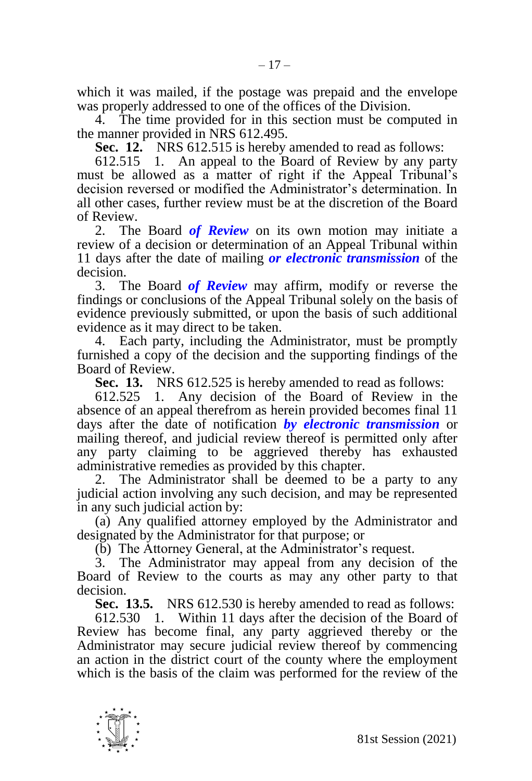which it was mailed, if the postage was prepaid and the envelope was properly addressed to one of the offices of the Division.

4. The time provided for in this section must be computed in the manner provided in NRS 612.495.

**Sec. 12.** NRS 612.515 is hereby amended to read as follows:

612.515 1. An appeal to the Board of Review by any party must be allowed as a matter of right if the Appeal Tribunal's decision reversed or modified the Administrator's determination. In all other cases, further review must be at the discretion of the Board of Review.

2. The Board *of Review* on its own motion may initiate a review of a decision or determination of an Appeal Tribunal within 11 days after the date of mailing *or electronic transmission* of the decision.

3. The Board *of Review* may affirm, modify or reverse the findings or conclusions of the Appeal Tribunal solely on the basis of evidence previously submitted, or upon the basis of such additional evidence as it may direct to be taken.

4. Each party, including the Administrator, must be promptly furnished a copy of the decision and the supporting findings of the Board of Review.

**Sec. 13.** NRS 612.525 is hereby amended to read as follows:

612.525 1. Any decision of the Board of Review in the absence of an appeal therefrom as herein provided becomes final 11 days after the date of notification *by electronic transmission* or mailing thereof, and judicial review thereof is permitted only after any party claiming to be aggrieved thereby has exhausted administrative remedies as provided by this chapter.

2. The Administrator shall be deemed to be a party to any judicial action involving any such decision, and may be represented in any such judicial action by:

(a) Any qualified attorney employed by the Administrator and designated by the Administrator for that purpose; or

(b) The Attorney General, at the Administrator's request.

3. The Administrator may appeal from any decision of the Board of Review to the courts as may any other party to that decision.

**Sec. 13.5.** NRS 612.530 is hereby amended to read as follows:

612.530 1. Within 11 days after the decision of the Board of Review has become final, any party aggrieved thereby or the Administrator may secure judicial review thereof by commencing an action in the district court of the county where the employment which is the basis of the claim was performed for the review of the

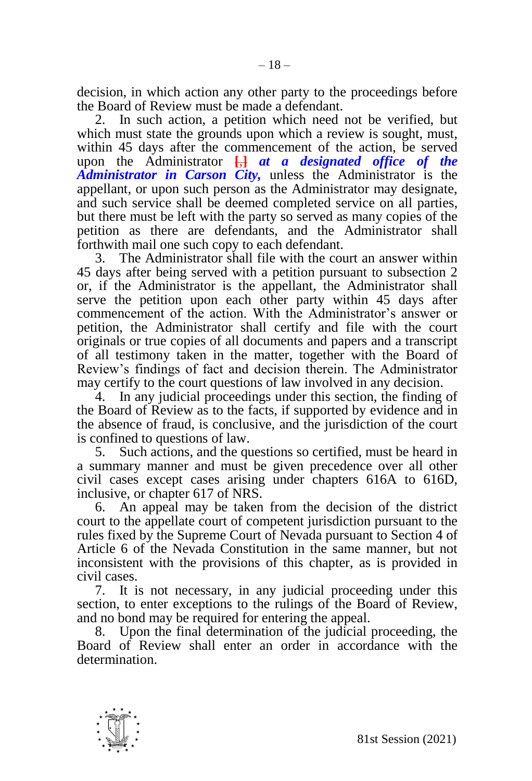decision, in which action any other party to the proceedings before the Board of Review must be made a defendant.

2. In such action, a petition which need not be verified, but which must state the grounds upon which a review is sought, must, within 45 days after the commencement of the action, be served upon the Administrator **[**,**]** *at a designated office of the Administrator in Carson City,* unless the Administrator is the appellant, or upon such person as the Administrator may designate, and such service shall be deemed completed service on all parties, but there must be left with the party so served as many copies of the petition as there are defendants, and the Administrator shall forthwith mail one such copy to each defendant.

3. The Administrator shall file with the court an answer within 45 days after being served with a petition pursuant to subsection 2 or, if the Administrator is the appellant, the Administrator shall serve the petition upon each other party within 45 days after commencement of the action. With the Administrator's answer or petition, the Administrator shall certify and file with the court originals or true copies of all documents and papers and a transcript of all testimony taken in the matter, together with the Board of Review's findings of fact and decision therein. The Administrator may certify to the court questions of law involved in any decision.

4. In any judicial proceedings under this section, the finding of the Board of Review as to the facts, if supported by evidence and in the absence of fraud, is conclusive, and the jurisdiction of the court is confined to questions of law.

5. Such actions, and the questions so certified, must be heard in a summary manner and must be given precedence over all other civil cases except cases arising under chapters 616A to 616D, inclusive, or chapter 617 of NRS.

6. An appeal may be taken from the decision of the district court to the appellate court of competent jurisdiction pursuant to the rules fixed by the Supreme Court of Nevada pursuant to Section 4 of Article 6 of the Nevada Constitution in the same manner, but not inconsistent with the provisions of this chapter, as is provided in civil cases.

7. It is not necessary, in any judicial proceeding under this section, to enter exceptions to the rulings of the Board of Review, and no bond may be required for entering the appeal.

8. Upon the final determination of the judicial proceeding, the Board of Review shall enter an order in accordance with the determination.

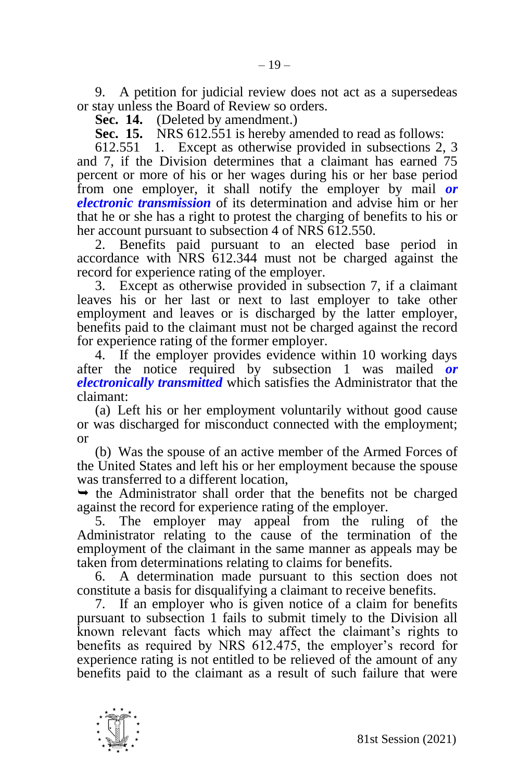9. A petition for judicial review does not act as a supersedeas or stay unless the Board of Review so orders.

**Sec. 14.** (Deleted by amendment.)

**Sec. 15.** NRS 612.551 is hereby amended to read as follows:

612.551 1. Except as otherwise provided in subsections 2, 3 and 7, if the Division determines that a claimant has earned 75 percent or more of his or her wages during his or her base period from one employer, it shall notify the employer by mail *or electronic transmission* of its determination and advise him or her that he or she has a right to protest the charging of benefits to his or her account pursuant to subsection 4 of NRS 612.550.

2. Benefits paid pursuant to an elected base period in accordance with NRS 612.344 must not be charged against the record for experience rating of the employer.

3. Except as otherwise provided in subsection 7, if a claimant leaves his or her last or next to last employer to take other employment and leaves or is discharged by the latter employer, benefits paid to the claimant must not be charged against the record for experience rating of the former employer.

4. If the employer provides evidence within 10 working days after the notice required by subsection 1 was mailed *or electronically transmitted* which satisfies the Administrator that the claimant:

(a) Left his or her employment voluntarily without good cause or was discharged for misconduct connected with the employment; or

(b) Was the spouse of an active member of the Armed Forces of the United States and left his or her employment because the spouse was transferred to a different location,

 $\rightarrow$  the Administrator shall order that the benefits not be charged against the record for experience rating of the employer.

5. The employer may appeal from the ruling of the Administrator relating to the cause of the termination of the employment of the claimant in the same manner as appeals may be taken from determinations relating to claims for benefits.

6. A determination made pursuant to this section does not constitute a basis for disqualifying a claimant to receive benefits.

7. If an employer who is given notice of a claim for benefits pursuant to subsection 1 fails to submit timely to the Division all known relevant facts which may affect the claimant's rights to benefits as required by NRS 612.475, the employer's record for experience rating is not entitled to be relieved of the amount of any benefits paid to the claimant as a result of such failure that were

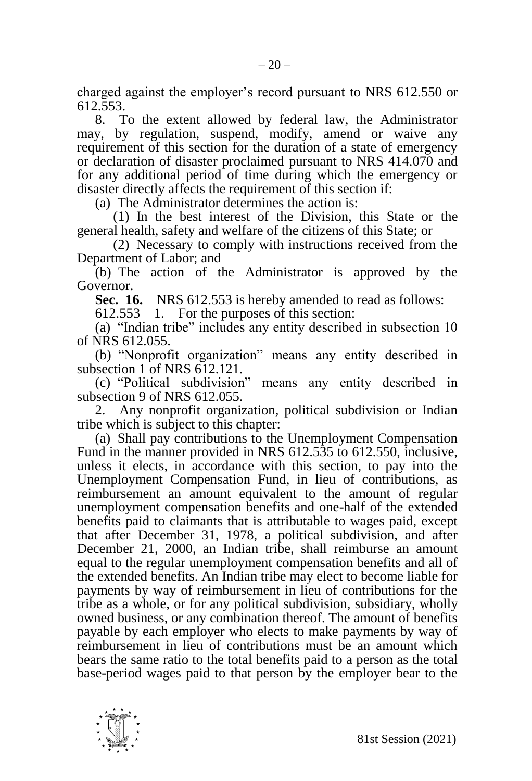charged against the employer's record pursuant to NRS 612.550 or 612.553.

8. To the extent allowed by federal law, the Administrator may, by regulation, suspend, modify, amend or waive any requirement of this section for the duration of a state of emergency or declaration of disaster proclaimed pursuant to NRS 414.070 and for any additional period of time during which the emergency or disaster directly affects the requirement of this section if:

(a) The Administrator determines the action is:

(1) In the best interest of the Division, this State or the general health, safety and welfare of the citizens of this State; or

(2) Necessary to comply with instructions received from the Department of Labor; and

(b) The action of the Administrator is approved by the Governor.

**Sec. 16.** NRS 612.553 is hereby amended to read as follows:

612.553 1. For the purposes of this section:

(a) "Indian tribe" includes any entity described in subsection 10 of NRS 612.055.

(b) "Nonprofit organization" means any entity described in subsection 1 of NRS 612.121.

(c) "Political subdivision" means any entity described in subsection 9 of NRS 612.055.

2. Any nonprofit organization, political subdivision or Indian tribe which is subject to this chapter:

(a) Shall pay contributions to the Unemployment Compensation Fund in the manner provided in NRS 612.535 to 612.550, inclusive, unless it elects, in accordance with this section, to pay into the Unemployment Compensation Fund, in lieu of contributions, as reimbursement an amount equivalent to the amount of regular unemployment compensation benefits and one-half of the extended benefits paid to claimants that is attributable to wages paid, except that after December 31, 1978, a political subdivision, and after December 21, 2000, an Indian tribe, shall reimburse an amount equal to the regular unemployment compensation benefits and all of the extended benefits. An Indian tribe may elect to become liable for payments by way of reimbursement in lieu of contributions for the tribe as a whole, or for any political subdivision, subsidiary, wholly owned business, or any combination thereof. The amount of benefits payable by each employer who elects to make payments by way of reimbursement in lieu of contributions must be an amount which bears the same ratio to the total benefits paid to a person as the total base-period wages paid to that person by the employer bear to the

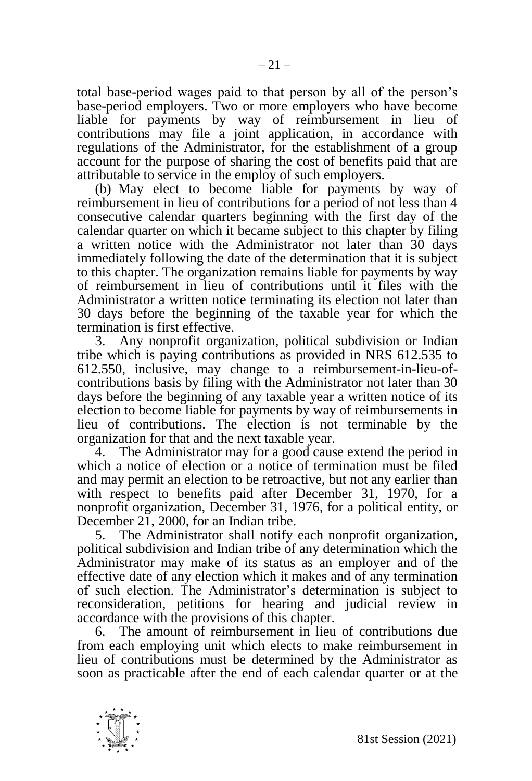total base-period wages paid to that person by all of the person's base-period employers. Two or more employers who have become liable for payments by way of reimbursement in lieu of contributions may file a joint application, in accordance with regulations of the Administrator, for the establishment of a group account for the purpose of sharing the cost of benefits paid that are attributable to service in the employ of such employers.

(b) May elect to become liable for payments by way of reimbursement in lieu of contributions for a period of not less than 4 consecutive calendar quarters beginning with the first day of the calendar quarter on which it became subject to this chapter by filing a written notice with the Administrator not later than 30 days immediately following the date of the determination that it is subject to this chapter. The organization remains liable for payments by way of reimbursement in lieu of contributions until it files with the Administrator a written notice terminating its election not later than 30 days before the beginning of the taxable year for which the termination is first effective.

3. Any nonprofit organization, political subdivision or Indian tribe which is paying contributions as provided in NRS 612.535 to 612.550, inclusive, may change to a reimbursement-in-lieu-ofcontributions basis by filing with the Administrator not later than 30 days before the beginning of any taxable year a written notice of its election to become liable for payments by way of reimbursements in lieu of contributions. The election is not terminable by the organization for that and the next taxable year.

4. The Administrator may for a good cause extend the period in which a notice of election or a notice of termination must be filed and may permit an election to be retroactive, but not any earlier than with respect to benefits paid after December 31, 1970, for a nonprofit organization, December 31, 1976, for a political entity, or December 21, 2000, for an Indian tribe.

5. The Administrator shall notify each nonprofit organization, political subdivision and Indian tribe of any determination which the Administrator may make of its status as an employer and of the effective date of any election which it makes and of any termination of such election. The Administrator's determination is subject to reconsideration, petitions for hearing and judicial review in accordance with the provisions of this chapter.

6. The amount of reimbursement in lieu of contributions due from each employing unit which elects to make reimbursement in lieu of contributions must be determined by the Administrator as soon as practicable after the end of each calendar quarter or at the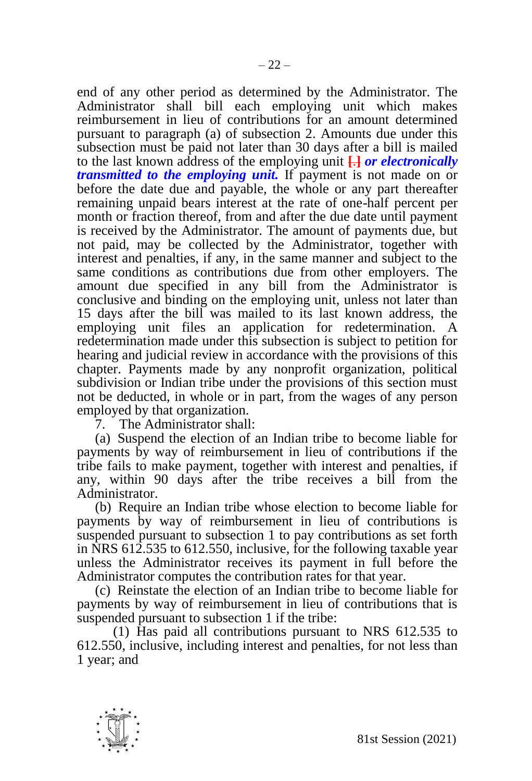end of any other period as determined by the Administrator. The Administrator shall bill each employing unit which makes reimbursement in lieu of contributions for an amount determined pursuant to paragraph (a) of subsection 2. Amounts due under this subsection must be paid not later than 30 days after a bill is mailed to the last known address of the employing unit **[**.**]** *or electronically transmitted to the employing unit.* If payment is not made on or before the date due and payable, the whole or any part thereafter remaining unpaid bears interest at the rate of one-half percent per month or fraction thereof, from and after the due date until payment is received by the Administrator. The amount of payments due, but not paid, may be collected by the Administrator, together with interest and penalties, if any, in the same manner and subject to the same conditions as contributions due from other employers. The amount due specified in any bill from the Administrator is conclusive and binding on the employing unit, unless not later than 15 days after the bill was mailed to its last known address, the employing unit files an application for redetermination. A redetermination made under this subsection is subject to petition for hearing and judicial review in accordance with the provisions of this chapter. Payments made by any nonprofit organization, political subdivision or Indian tribe under the provisions of this section must not be deducted, in whole or in part, from the wages of any person employed by that organization.

7. The Administrator shall:

(a) Suspend the election of an Indian tribe to become liable for payments by way of reimbursement in lieu of contributions if the tribe fails to make payment, together with interest and penalties, if any, within 90 days after the tribe receives a bill from the Administrator.

(b) Require an Indian tribe whose election to become liable for payments by way of reimbursement in lieu of contributions is suspended pursuant to subsection 1 to pay contributions as set forth in NRS 612.535 to 612.550, inclusive, for the following taxable year unless the Administrator receives its payment in full before the Administrator computes the contribution rates for that year.

(c) Reinstate the election of an Indian tribe to become liable for payments by way of reimbursement in lieu of contributions that is suspended pursuant to subsection 1 if the tribe:

(1) Has paid all contributions pursuant to NRS 612.535 to 612.550, inclusive, including interest and penalties, for not less than 1 year; and

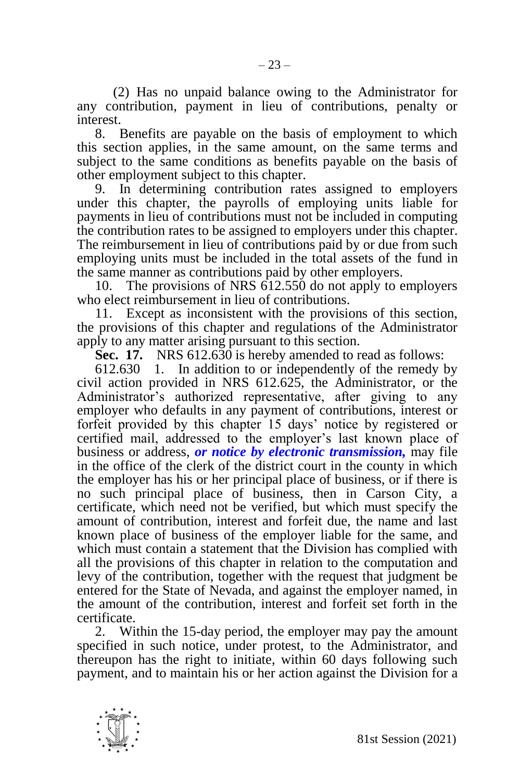(2) Has no unpaid balance owing to the Administrator for any contribution, payment in lieu of contributions, penalty or interest.

8. Benefits are payable on the basis of employment to which this section applies, in the same amount, on the same terms and subject to the same conditions as benefits payable on the basis of other employment subject to this chapter.

9. In determining contribution rates assigned to employers under this chapter, the payrolls of employing units liable for payments in lieu of contributions must not be included in computing the contribution rates to be assigned to employers under this chapter. The reimbursement in lieu of contributions paid by or due from such employing units must be included in the total assets of the fund in the same manner as contributions paid by other employers.

10. The provisions of NRS 612.550 do not apply to employers who elect reimbursement in lieu of contributions.

11. Except as inconsistent with the provisions of this section, the provisions of this chapter and regulations of the Administrator apply to any matter arising pursuant to this section.

**Sec. 17.** NRS 612.630 is hereby amended to read as follows:

612.630 1. In addition to or independently of the remedy by civil action provided in NRS 612.625, the Administrator, or the Administrator's authorized representative, after giving to any employer who defaults in any payment of contributions, interest or forfeit provided by this chapter 15 days' notice by registered or certified mail, addressed to the employer's last known place of business or address, *or notice by electronic transmission,* may file in the office of the clerk of the district court in the county in which the employer has his or her principal place of business, or if there is no such principal place of business, then in Carson City, a certificate, which need not be verified, but which must specify the amount of contribution, interest and forfeit due, the name and last known place of business of the employer liable for the same, and which must contain a statement that the Division has complied with all the provisions of this chapter in relation to the computation and levy of the contribution, together with the request that judgment be entered for the State of Nevada, and against the employer named, in the amount of the contribution, interest and forfeit set forth in the certificate.

2. Within the 15-day period, the employer may pay the amount specified in such notice, under protest, to the Administrator, and thereupon has the right to initiate, within 60 days following such payment, and to maintain his or her action against the Division for a

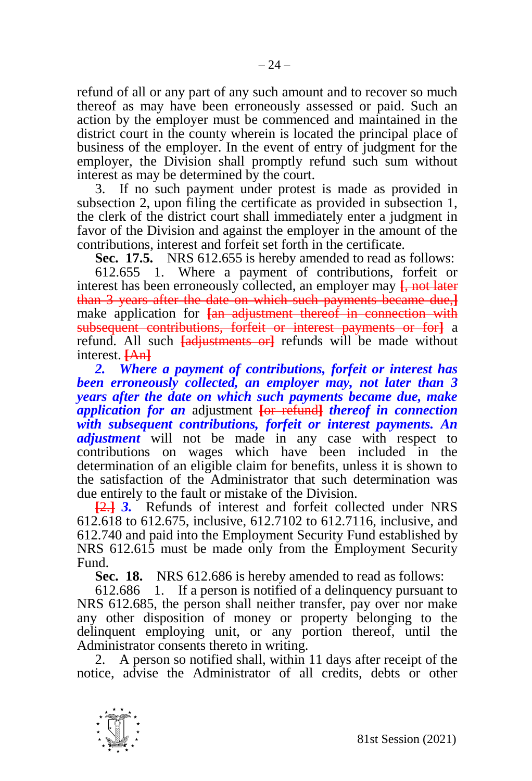refund of all or any part of any such amount and to recover so much thereof as may have been erroneously assessed or paid. Such an action by the employer must be commenced and maintained in the district court in the county wherein is located the principal place of business of the employer. In the event of entry of judgment for the employer, the Division shall promptly refund such sum without interest as may be determined by the court.

3. If no such payment under protest is made as provided in subsection 2, upon filing the certificate as provided in subsection 1, the clerk of the district court shall immediately enter a judgment in favor of the Division and against the employer in the amount of the contributions, interest and forfeit set forth in the certificate.

**Sec. 17.5.** NRS 612.655 is hereby amended to read as follows:

612.655 1. Where a payment of contributions, forfeit or interest has been erroneously collected, an employer may **[**, not later than 3 years after the date on which such payments became due,**]** make application for  $\frac{1}{2}$  and adjustment thereof in connection with subsequent contributions, forfeit or interest payments or for**]** a refund. All such **[**adjustments or**]** refunds will be made without interest. **[**An**]**

*2. Where a payment of contributions, forfeit or interest has been erroneously collected, an employer may, not later than 3 years after the date on which such payments became due, make application for an* adjustment **[**or refund**]** *thereof in connection with subsequent contributions, forfeit or interest payments. An adjustment* will not be made in any case with respect to contributions on wages which have been included in the determination of an eligible claim for benefits, unless it is shown to the satisfaction of the Administrator that such determination was due entirely to the fault or mistake of the Division.

**[**2.**]** *3.* Refunds of interest and forfeit collected under NRS 612.618 to 612.675, inclusive, 612.7102 to 612.7116, inclusive, and 612.740 and paid into the Employment Security Fund established by NRS 612.615 must be made only from the Employment Security Fund.

**Sec. 18.** NRS 612.686 is hereby amended to read as follows:

612.686 1. If a person is notified of a delinquency pursuant to NRS 612.685, the person shall neither transfer, pay over nor make any other disposition of money or property belonging to the delinquent employing unit, or any portion thereof, until the Administrator consents thereto in writing.

2. A person so notified shall, within 11 days after receipt of the notice, advise the Administrator of all credits, debts or other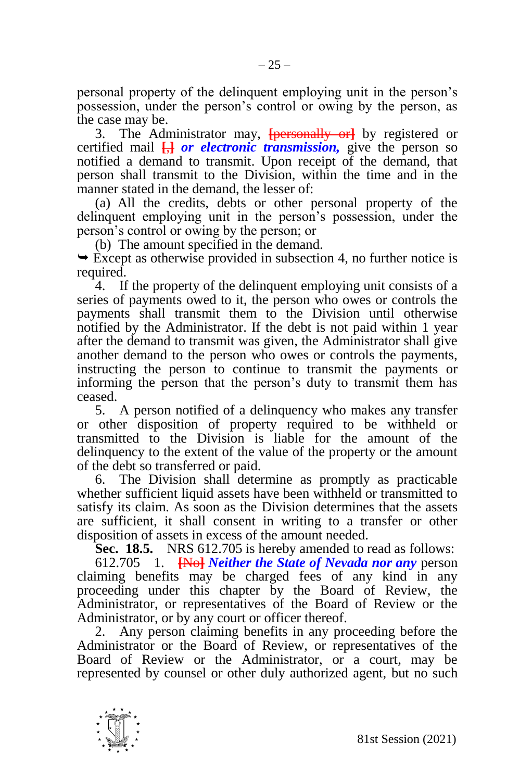personal property of the delinquent employing unit in the person's possession, under the person's control or owing by the person, as the case may be.

3. The Administrator may, **[**personally or**]** by registered or certified mail **[**,**]** *or electronic transmission,* give the person so notified a demand to transmit. Upon receipt of the demand, that person shall transmit to the Division, within the time and in the manner stated in the demand, the lesser of:

(a) All the credits, debts or other personal property of the delinquent employing unit in the person's possession, under the person's control or owing by the person; or

(b) The amount specified in the demand.

 $\rightarrow$  Except as otherwise provided in subsection 4, no further notice is required.

4. If the property of the delinquent employing unit consists of a series of payments owed to it, the person who owes or controls the payments shall transmit them to the Division until otherwise notified by the Administrator. If the debt is not paid within 1 year after the demand to transmit was given, the Administrator shall give another demand to the person who owes or controls the payments, instructing the person to continue to transmit the payments or informing the person that the person's duty to transmit them has ceased.

5. A person notified of a delinquency who makes any transfer or other disposition of property required to be withheld or transmitted to the Division is liable for the amount of the delinquency to the extent of the value of the property or the amount of the debt so transferred or paid.

6. The Division shall determine as promptly as practicable whether sufficient liquid assets have been withheld or transmitted to satisfy its claim. As soon as the Division determines that the assets are sufficient, it shall consent in writing to a transfer or other disposition of assets in excess of the amount needed.

**Sec. 18.5.** NRS 612.705 is hereby amended to read as follows: 612.705 1. **[**No**]** *Neither the State of Nevada nor any* person

claiming benefits may be charged fees of any kind in any proceeding under this chapter by the Board of Review, the Administrator, or representatives of the Board of Review or the Administrator, or by any court or officer thereof.

2. Any person claiming benefits in any proceeding before the Administrator or the Board of Review, or representatives of the Board of Review or the Administrator, or a court, may be represented by counsel or other duly authorized agent, but no such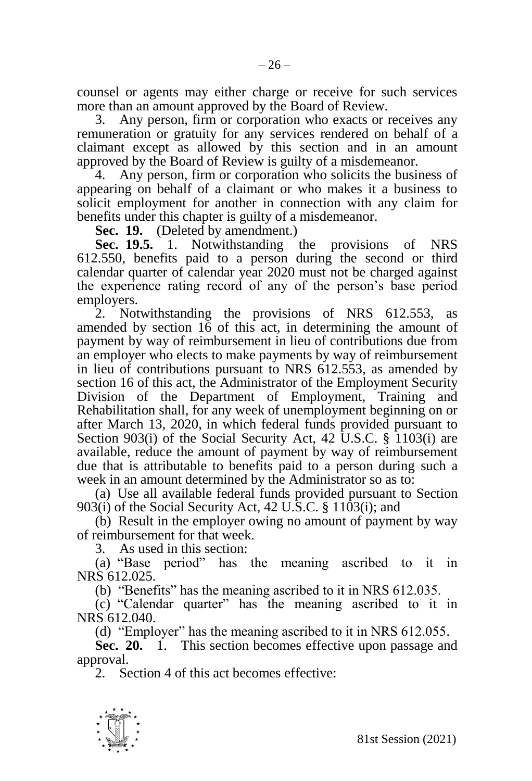counsel or agents may either charge or receive for such services more than an amount approved by the Board of Review.

3. Any person, firm or corporation who exacts or receives any remuneration or gratuity for any services rendered on behalf of a claimant except as allowed by this section and in an amount approved by the Board of Review is guilty of a misdemeanor.

4. Any person, firm or corporation who solicits the business of appearing on behalf of a claimant or who makes it a business to solicit employment for another in connection with any claim for benefits under this chapter is guilty of a misdemeanor.

**Sec. 19.** (Deleted by amendment.)<br>**Sec. 19.5.** 1. Notwithstanding

**Sec. 19.5.** 1. Notwithstanding the provisions of NRS 612.550, benefits paid to a person during the second or third calendar quarter of calendar year 2020 must not be charged against the experience rating record of any of the person's base period employers.

2. Notwithstanding the provisions of NRS 612.553, as amended by section 16 of this act, in determining the amount of payment by way of reimbursement in lieu of contributions due from an employer who elects to make payments by way of reimbursement in lieu of contributions pursuant to NRS 612.553, as amended by section 16 of this act, the Administrator of the Employment Security Division of the Department of Employment, Training and Rehabilitation shall, for any week of unemployment beginning on or after March 13, 2020, in which federal funds provided pursuant to Section 903(i) of the Social Security Act, 42 U.S.C. § 1103(i) are available, reduce the amount of payment by way of reimbursement due that is attributable to benefits paid to a person during such a week in an amount determined by the Administrator so as to:

(a) Use all available federal funds provided pursuant to Section 903(i) of the Social Security Act, 42 U.S.C. § 1103(i); and

(b) Result in the employer owing no amount of payment by way of reimbursement for that week.

3. As used in this section:

(a) "Base period" has the meaning ascribed to it in NRS 612.025.

(b) "Benefits" has the meaning ascribed to it in NRS 612.035.

(c) "Calendar quarter" has the meaning ascribed to it in NRS 612.040.

(d) "Employer" has the meaning ascribed to it in NRS 612.055.

**Sec. 20.** 1. This section becomes effective upon passage and approval.

2. Section 4 of this act becomes effective: